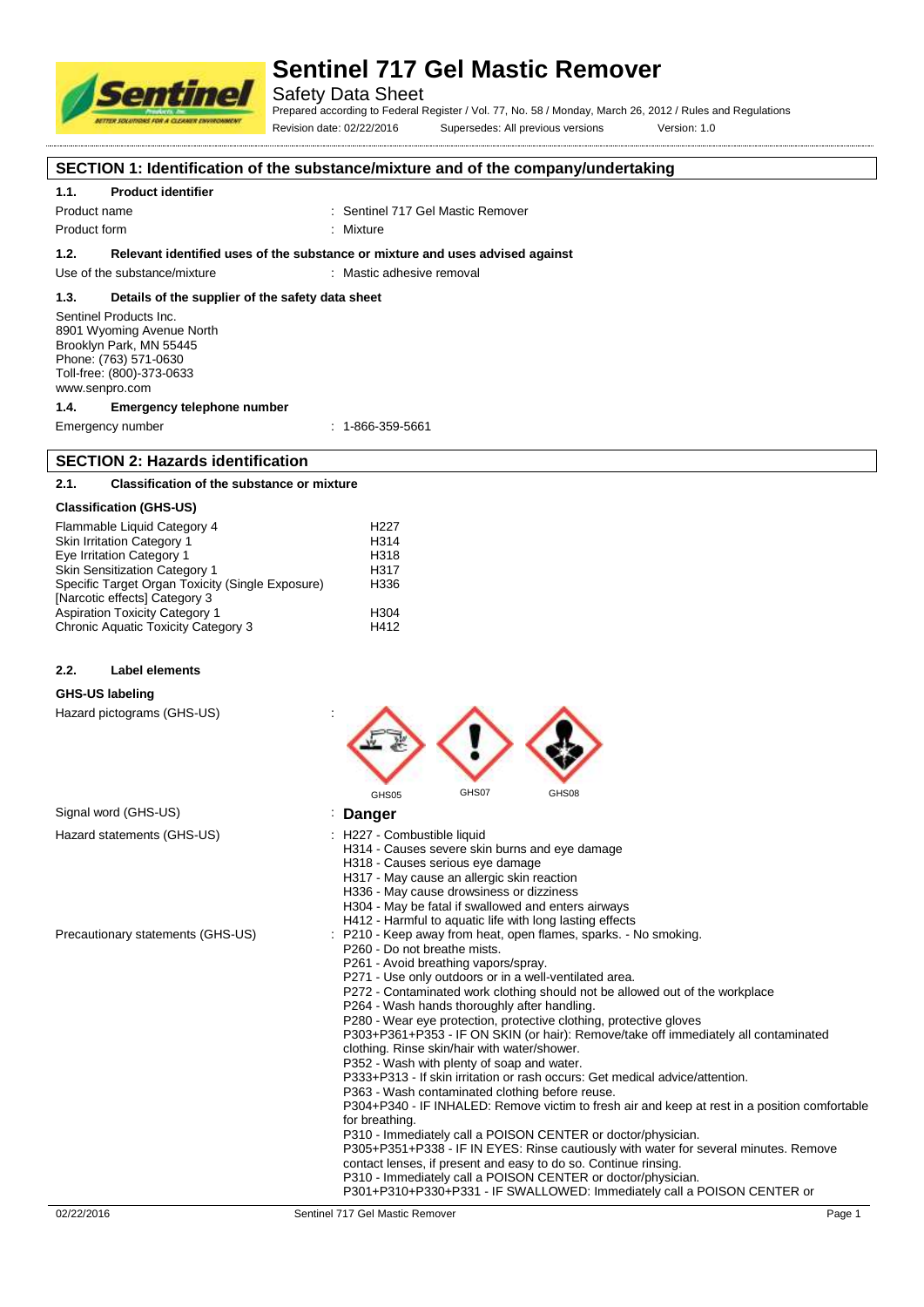

Safety Data Sheet

Prepared according to Federal Register / Vol. 77, No. 58 / Monday, March 26, 2012 / Rules and Regulations Revision date: 02/22/2016 Supersedes: All previous versions Version: 1.0

**SECTION 1: Identification of the substance/mixture and of the company/undertaking**

### **1.1. Product identifier**

Product name **Internal 2018** Continuent Sentinel 717 Gel Mastic Remover

Product form : Nixture : Mixture

#### **1.2. Relevant identified uses of the substance or mixture and uses advised against**

Use of the substance/mixture : Mastic adhesive removal

#### **1.3. Details of the supplier of the safety data sheet**

Sentinel Products Inc. 8901 Wyoming Avenue North Brooklyn Park, MN 55445 Phone: (763) 571-0630 Toll-free: (800)-373-0633 www.senpro.com

#### **1.4. Emergency telephone number**

Emergency number : 1-866-359-5661

## **SECTION 2: Hazards identification**

## **2.1. Classification of the substance or mixture**

### **Classification (GHS-US)**

| Flammable Liquid Category 4                      | H <sub>22</sub> 7 |
|--------------------------------------------------|-------------------|
| Skin Irritation Category 1                       | H314              |
| Eye Irritation Category 1                        | H318              |
| <b>Skin Sensitization Category 1</b>             | H <sub>317</sub>  |
| Specific Target Organ Toxicity (Single Exposure) | H336              |
| [Narcotic effects] Category 3                    |                   |
| <b>Aspiration Toxicity Category 1</b>            | H <sub>304</sub>  |
| Chronic Aquatic Toxicity Category 3              | H412              |

#### **2.2. Label elements**

#### **GHS-US labeling**

Hazard pictograms (GHS-US) :

|                                   | GHS07<br>GHS08<br>GHS05                                                                                                                                                                                                                                                                                                                                                                                                                                                                                                                                                                                                                                                                                                                                                                                                                                                                                                                                                                                                                                                                                                                                                                                                   |
|-----------------------------------|---------------------------------------------------------------------------------------------------------------------------------------------------------------------------------------------------------------------------------------------------------------------------------------------------------------------------------------------------------------------------------------------------------------------------------------------------------------------------------------------------------------------------------------------------------------------------------------------------------------------------------------------------------------------------------------------------------------------------------------------------------------------------------------------------------------------------------------------------------------------------------------------------------------------------------------------------------------------------------------------------------------------------------------------------------------------------------------------------------------------------------------------------------------------------------------------------------------------------|
| Signal word (GHS-US)              | <b>Danger</b>                                                                                                                                                                                                                                                                                                                                                                                                                                                                                                                                                                                                                                                                                                                                                                                                                                                                                                                                                                                                                                                                                                                                                                                                             |
| Hazard statements (GHS-US)        | : H227 - Combustible liquid<br>H314 - Causes severe skin burns and eye damage<br>H318 - Causes serious eye damage<br>H317 - May cause an allergic skin reaction<br>H336 - May cause drowsiness or dizziness<br>H304 - May be fatal if swallowed and enters airways<br>H412 - Harmful to aquatic life with long lasting effects                                                                                                                                                                                                                                                                                                                                                                                                                                                                                                                                                                                                                                                                                                                                                                                                                                                                                            |
| Precautionary statements (GHS-US) | : P210 - Keep away from heat, open flames, sparks. - No smoking.<br>P260 - Do not breathe mists.<br>P261 - Avoid breathing vapors/spray.<br>P271 - Use only outdoors or in a well-ventilated area.<br>P272 - Contaminated work clothing should not be allowed out of the workplace<br>P264 - Wash hands thoroughly after handling.<br>P280 - Wear eye protection, protective clothing, protective gloves<br>P303+P361+P353 - IF ON SKIN (or hair): Remove/take off immediately all contaminated<br>clothing. Rinse skin/hair with water/shower.<br>P352 - Wash with plenty of soap and water.<br>P333+P313 - If skin irritation or rash occurs: Get medical advice/attention.<br>P363 - Wash contaminated clothing before reuse.<br>P304+P340 - IF INHALED: Remove victim to fresh air and keep at rest in a position comfortable<br>for breathing.<br>P310 - Immediately call a POISON CENTER or doctor/physician.<br>P305+P351+P338 - IF IN EYES: Rinse cautiously with water for several minutes. Remove<br>contact lenses, if present and easy to do so. Continue rinsing.<br>P310 - Immediately call a POISON CENTER or doctor/physician.<br>P301+P310+P330+P331 - IF SWALLOWED: Immediately call a POISON CENTER or |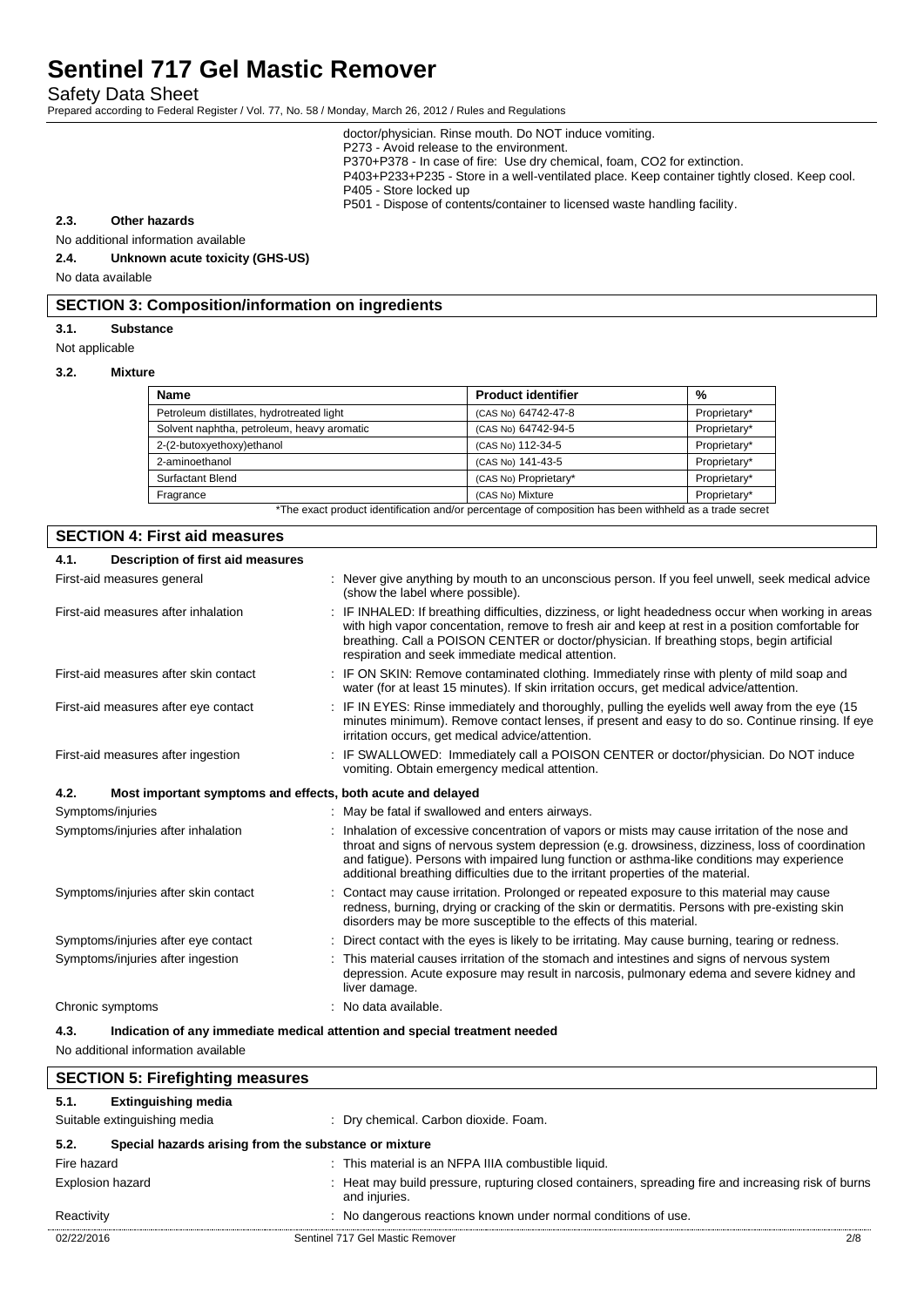Safety Data Sheet

Prepared according to Federal Register / Vol. 77, No. 58 / Monday, March 26, 2012 / Rules and Regulations

doctor/physician. Rinse mouth. Do NOT induce vomiting.

P273 - Avoid release to the environment.

P370+P378 - In case of fire: Use dry chemical, foam, CO2 for extinction.

P403+P233+P235 - Store in a well-ventilated place. Keep container tightly closed. Keep cool.

P405 - Store locked up

P501 - Dispose of contents/container to licensed waste handling facility.

## **2.3. Other hazards**

No additional information available

**2.4. Unknown acute toxicity (GHS-US)**

No data available

## **SECTION 3: Composition/information on ingredients**

#### **3.1. Substance**

Not applicable

#### **3.2. Mixture**

| <b>Product identifier</b> | %            |
|---------------------------|--------------|
| (CAS No) 64742-47-8       | Proprietary* |
| (CAS No) 64742-94-5       | Proprietary* |
| (CAS No) 112-34-5         | Proprietary* |
| (CAS No) 141-43-5         | Proprietary* |
| (CAS No) Proprietary*     | Proprietary* |
| (CAS No) Mixture          | Proprietary* |
|                           |              |

The exact product identification and/or percentage of composition has been withheld as a trade secret

## **SECTION 4: First aid measures**

| 4.1. | Description of first aid measures                           |                                                                                                                                                                                                                                                                                                                                                                                       |
|------|-------------------------------------------------------------|---------------------------------------------------------------------------------------------------------------------------------------------------------------------------------------------------------------------------------------------------------------------------------------------------------------------------------------------------------------------------------------|
|      | First-aid measures general                                  | : Never give anything by mouth to an unconscious person. If you feel unwell, seek medical advice<br>(show the label where possible).                                                                                                                                                                                                                                                  |
|      | First-aid measures after inhalation                         | : IF INHALED: If breathing difficulties, dizziness, or light headedness occur when working in areas<br>with high vapor concentation, remove to fresh air and keep at rest in a position comfortable for<br>breathing. Call a POISON CENTER or doctor/physician. If breathing stops, begin artificial<br>respiration and seek immediate medical attention.                             |
|      | First-aid measures after skin contact                       | : IF ON SKIN: Remove contaminated clothing. Immediately rinse with plenty of mild soap and<br>water (for at least 15 minutes). If skin irritation occurs, get medical advice/attention.                                                                                                                                                                                               |
|      | First-aid measures after eye contact                        | : IF IN EYES: Rinse immediately and thoroughly, pulling the eyelids well away from the eye (15<br>minutes minimum). Remove contact lenses, if present and easy to do so. Continue rinsing. If eye<br>irritation occurs, get medical advice/attention.                                                                                                                                 |
|      | First-aid measures after ingestion                          | : IF SWALLOWED: Immediately call a POISON CENTER or doctor/physician. Do NOT induce<br>vomiting. Obtain emergency medical attention.                                                                                                                                                                                                                                                  |
| 4.2. | Most important symptoms and effects, both acute and delayed |                                                                                                                                                                                                                                                                                                                                                                                       |
|      | Symptoms/injuries                                           | : May be fatal if swallowed and enters airways.                                                                                                                                                                                                                                                                                                                                       |
|      | Symptoms/injuries after inhalation                          | : Inhalation of excessive concentration of vapors or mists may cause irritation of the nose and<br>throat and signs of nervous system depression (e.g. drowsiness, dizziness, loss of coordination<br>and fatigue). Persons with impaired lung function or asthma-like conditions may experience<br>additional breathing difficulties due to the irritant properties of the material. |
|      | Symptoms/injuries after skin contact                        | Contact may cause irritation. Prolonged or repeated exposure to this material may cause<br>redness, burning, drying or cracking of the skin or dermatitis. Persons with pre-existing skin<br>disorders may be more susceptible to the effects of this material.                                                                                                                       |
|      | Symptoms/injuries after eye contact                         | Direct contact with the eyes is likely to be irritating. May cause burning, tearing or redness.                                                                                                                                                                                                                                                                                       |
|      | Symptoms/injuries after ingestion                           | This material causes irritation of the stomach and intestines and signs of nervous system<br>depression. Acute exposure may result in narcosis, pulmonary edema and severe kidney and<br>liver damage.                                                                                                                                                                                |
|      | Chronic symptoms                                            | : No data available.                                                                                                                                                                                                                                                                                                                                                                  |
| 4.3. |                                                             | Indication of any immediate medical attention and special treatment needed                                                                                                                                                                                                                                                                                                            |

No additional information available

|                         | <b>SECTION 5: Firefighting measures</b>               |                                                                                                                      |     |
|-------------------------|-------------------------------------------------------|----------------------------------------------------------------------------------------------------------------------|-----|
| 5.1.                    | <b>Extinguishing media</b>                            |                                                                                                                      |     |
|                         | Suitable extinguishing media                          | : Dry chemical. Carbon dioxide. Foam.                                                                                |     |
| 5.2.                    | Special hazards arising from the substance or mixture |                                                                                                                      |     |
| Fire hazard             |                                                       | : This material is an NFPA IIIA combustible liquid.                                                                  |     |
| <b>Explosion hazard</b> |                                                       | : Heat may build pressure, rupturing closed containers, spreading fire and increasing risk of burns<br>and injuries. |     |
| Reactivity              |                                                       | : No dangerous reactions known under normal conditions of use.                                                       |     |
| 02/22/2016              |                                                       | Sentinel 717 Gel Mastic Remover                                                                                      | 2/8 |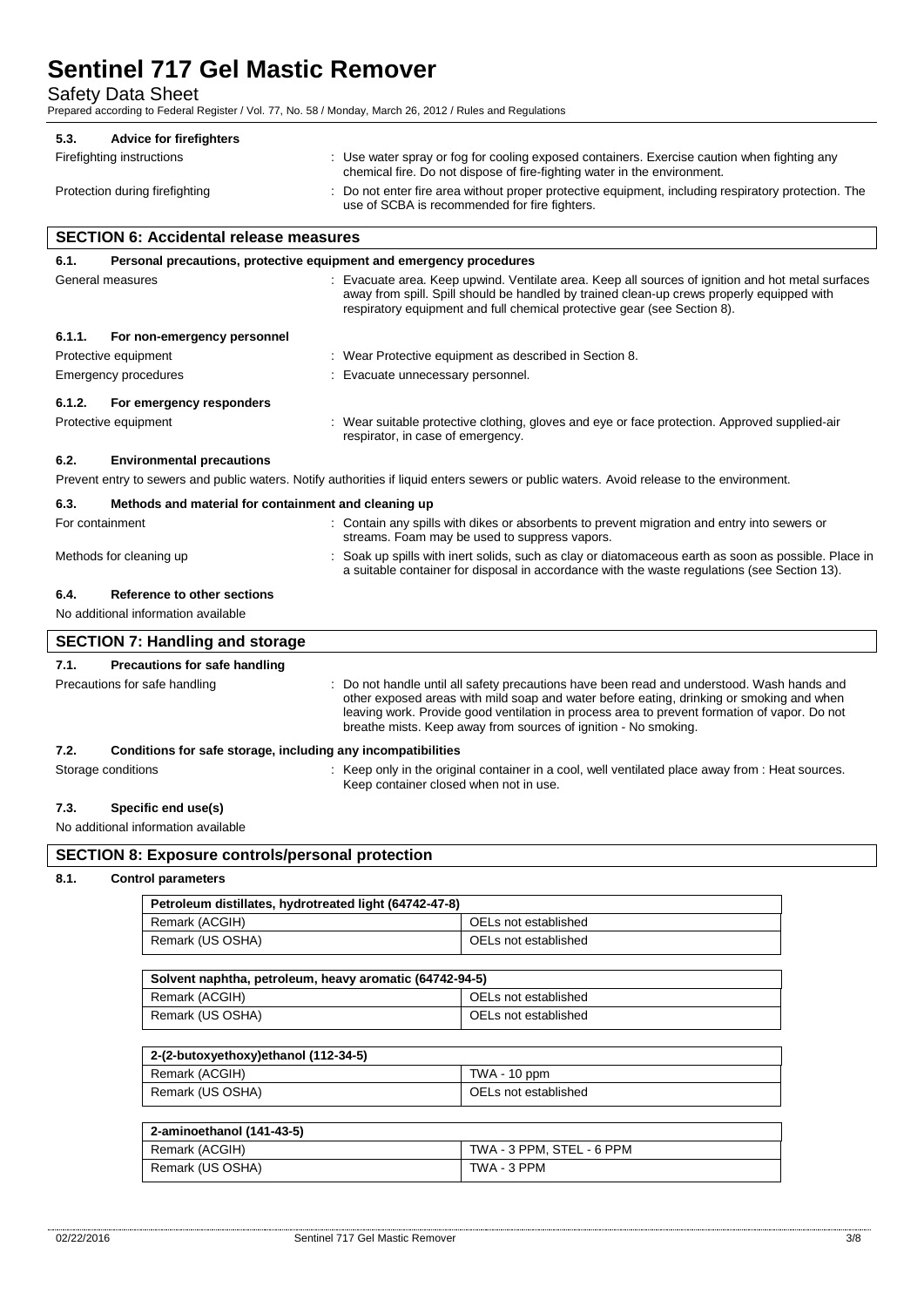Safety Data Sheet

Prepared according to Federal Register / Vol. 77, No. 58 / Monday, March 26, 2012 / Rules and Regulations

| 5.3. | <b>Advice for firefighters</b> |                                                                                                                                                                         |
|------|--------------------------------|-------------------------------------------------------------------------------------------------------------------------------------------------------------------------|
|      | Firefighting instructions      | : Use water spray or fog for cooling exposed containers. Exercise caution when fighting any<br>chemical fire. Do not dispose of fire-fighting water in the environment. |
|      | Protection during firefighting | : Do not enter fire area without proper protective equipment, including respiratory protection. The<br>use of SCBA is recommended for fire fighters.                    |

## **SECTION 6: Accidental release measures**

| 6.1.            | Personal precautions, protective equipment and emergency procedures |                                                                                                                                                                                                                                                                            |
|-----------------|---------------------------------------------------------------------|----------------------------------------------------------------------------------------------------------------------------------------------------------------------------------------------------------------------------------------------------------------------------|
|                 | General measures                                                    | : Evacuate area. Keep upwind. Ventilate area. Keep all sources of ignition and hot metal surfaces<br>away from spill. Spill should be handled by trained clean-up crews properly equipped with<br>respiratory equipment and full chemical protective gear (see Section 8). |
| 6.1.1.          | For non-emergency personnel                                         |                                                                                                                                                                                                                                                                            |
|                 | Protective equipment                                                | : Wear Protective equipment as described in Section 8.                                                                                                                                                                                                                     |
|                 | Emergency procedures                                                | Evacuate unnecessary personnel.                                                                                                                                                                                                                                            |
| 6.1.2.          | For emergency responders                                            |                                                                                                                                                                                                                                                                            |
|                 | Protective equipment                                                | : Wear suitable protective clothing, gloves and eye or face protection. Approved supplied-air<br>respirator, in case of emergency.                                                                                                                                         |
| 6.2.            | <b>Environmental precautions</b>                                    |                                                                                                                                                                                                                                                                            |
|                 |                                                                     | Prevent entry to sewers and public waters. Notify authorities if liquid enters sewers or public waters. Avoid release to the environment.                                                                                                                                  |
| 6.3.            | Methods and material for containment and cleaning up                |                                                                                                                                                                                                                                                                            |
| For containment |                                                                     | : Contain any spills with dikes or absorbents to prevent migration and entry into sewers or<br>streams. Foam may be used to suppress vapors.                                                                                                                               |
|                 | Methods for cleaning up                                             | Soak up spills with inert solids, such as clay or diatomaceous earth as soon as possible. Place in<br>a suitable container for disposal in accordance with the waste regulations (see Section 13).                                                                         |
| 6.4.            | Reference to other sections                                         |                                                                                                                                                                                                                                                                            |
|                 | No additional information available                                 |                                                                                                                                                                                                                                                                            |

### **SECTION 7: Handling and storage 7.1. Precautions for safe handling** Precautions for safe handling **interest of the not handle until all safety precautions have been read and understood. Wash hands and** other exposed areas with mild soap and water before eating, drinking or smoking and when leaving work. Provide good ventilation in process area to prevent formation of vapor. Do not breathe mists. Keep away from sources of ignition - No smoking. **7.2. Conditions for safe storage, including any incompatibilities** Storage conditions **Storage conditions** : Keep only in the original container in a cool, well ventilated place away from : Heat sources. Keep container closed when not in use.

#### **7.3. Specific end use(s)**

No additional information available

| <b>SECTION 8: Exposure controls/personal protection</b> |                           |  |  |
|---------------------------------------------------------|---------------------------|--|--|
| 8.1.                                                    | <b>Control parameters</b> |  |  |

| Petroleum distillates, hydrotreated light (64742-47-8) |                      |  |
|--------------------------------------------------------|----------------------|--|
| Remark (ACGIH)                                         | OELs not established |  |
| Remark (US OSHA)                                       | OELs not established |  |

| Solvent naphtha, petroleum, heavy aromatic (64742-94-5) |                      |  |
|---------------------------------------------------------|----------------------|--|
| Remark (ACGIH)                                          | OELs not established |  |
| Remark (US OSHA)                                        | OELs not established |  |

| 2-(2-butoxyethoxy)ethanol (112-34-5) |                      |
|--------------------------------------|----------------------|
| Remark (ACGIH)                       | TWA - 10 ppm         |
| Remark (US OSHA)                     | OELs not established |
|                                      |                      |

| 2-aminoethanol (141-43-5) |                           |  |
|---------------------------|---------------------------|--|
| Remark (ACGIH)            | TWA - 3 PPM. STEL - 6 PPM |  |
| Remark (US OSHA)          | TWA - 3 PPM               |  |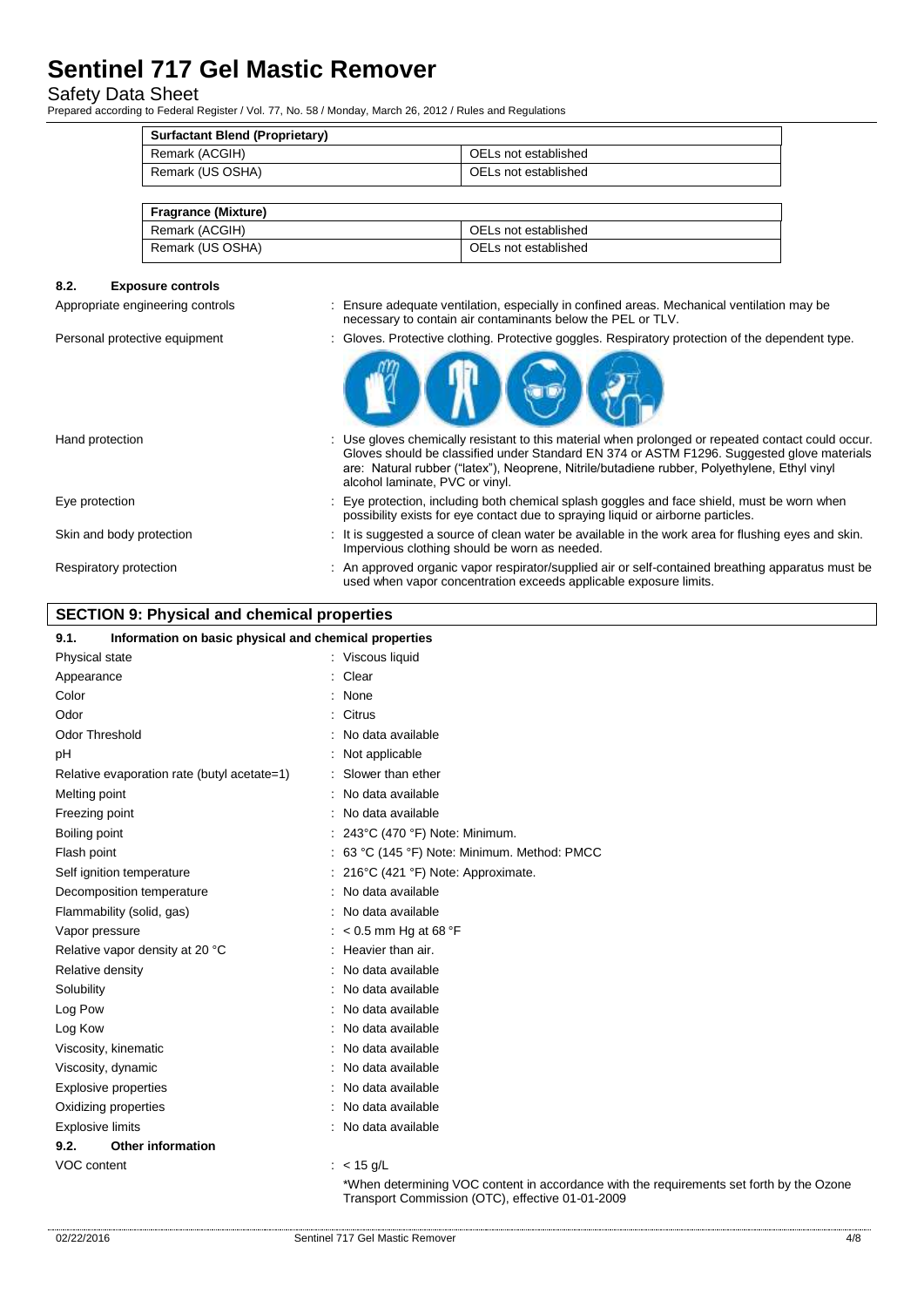## Safety Data Sheet

Prepared according to Federal Register / Vol. 77, No. 58 / Monday, March 26, 2012 / Rules and Regulations

| <b>Surfactant Blend (Proprietary)</b> |                      |
|---------------------------------------|----------------------|
| Remark (ACGIH)                        | OELs not established |
| Remark (US OSHA)                      | OELs not established |

| <b>Fragrance (Mixture)</b> |                      |
|----------------------------|----------------------|
| Remark (ACGIH)             | OELs not established |
| Remark (US OSHA)           | OELs not established |

### **8.2. Exposure controls**

Appropriate engineering controls : Ensure adequate ventilation, especially in confined areas. Mechanical ventilation may be necessary to contain air contaminants below the PEL or TLV.

Personal protective equipment : Gloves. Protective clothing. Protective goggles. Respiratory protection of the dependent type.



| Hand protection          | : Use gloves chemically resistant to this material when prolonged or repeated contact could occur.<br>Gloves should be classified under Standard EN 374 or ASTM F1296. Suggested glove materials<br>are: Natural rubber ("latex"), Neoprene, Nitrile/butadiene rubber, Polyethylene, Ethyl vinyl<br>alcohol laminate, PVC or vinyl. |
|--------------------------|-------------------------------------------------------------------------------------------------------------------------------------------------------------------------------------------------------------------------------------------------------------------------------------------------------------------------------------|
| Eye protection           | : Eye protection, including both chemical splash goggles and face shield, must be worn when<br>possibility exists for eye contact due to spraying liquid or airborne particles.                                                                                                                                                     |
| Skin and body protection | : It is suggested a source of clean water be available in the work area for flushing eyes and skin.<br>Impervious clothing should be worn as needed.                                                                                                                                                                                |
| Respiratory protection   | : An approved organic vapor respirator/supplied air or self-contained breathing apparatus must be<br>used when vapor concentration exceeds applicable exposure limits.                                                                                                                                                              |

### **SECTION 9: Physical and chemical properties**

|               | Respiratory protection                                | : An approved organic vapor respirator/supplied air or self-contained breathing apparatus must<br>used when vapor concentration exceeds applicable exposure limits. |     |
|---------------|-------------------------------------------------------|---------------------------------------------------------------------------------------------------------------------------------------------------------------------|-----|
|               | <b>SECTION 9: Physical and chemical properties</b>    |                                                                                                                                                                     |     |
| 9.1.          | Information on basic physical and chemical properties |                                                                                                                                                                     |     |
|               | Physical state                                        | : Viscous liquid                                                                                                                                                    |     |
| Appearance    |                                                       | Clear                                                                                                                                                               |     |
| Color         |                                                       | None                                                                                                                                                                |     |
| Odor          |                                                       | Citrus                                                                                                                                                              |     |
|               | Odor Threshold                                        | No data available                                                                                                                                                   |     |
| рH            |                                                       | Not applicable                                                                                                                                                      |     |
|               | Relative evaporation rate (butyl acetate=1)           | Slower than ether                                                                                                                                                   |     |
| Melting point |                                                       | No data available                                                                                                                                                   |     |
|               | Freezing point                                        | No data available                                                                                                                                                   |     |
| Boiling point |                                                       | 243°C (470 °F) Note: Minimum.                                                                                                                                       |     |
| Flash point   |                                                       | : 63 °C (145 °F) Note: Minimum. Method: PMCC                                                                                                                        |     |
|               | Self ignition temperature                             | : 216°C (421 °F) Note: Approximate.                                                                                                                                 |     |
|               | Decomposition temperature                             | No data available                                                                                                                                                   |     |
|               | Flammability (solid, gas)                             | No data available                                                                                                                                                   |     |
|               | Vapor pressure                                        | $:$ < 0.5 mm Hg at 68 °F                                                                                                                                            |     |
|               | Relative vapor density at 20 °C                       | Heavier than air.                                                                                                                                                   |     |
|               | Relative density                                      | No data available                                                                                                                                                   |     |
| Solubility    |                                                       | No data available                                                                                                                                                   |     |
| Log Pow       |                                                       | No data available                                                                                                                                                   |     |
| Log Kow       |                                                       | No data available                                                                                                                                                   |     |
|               | Viscosity, kinematic                                  | No data available                                                                                                                                                   |     |
|               | Viscosity, dynamic                                    | No data available                                                                                                                                                   |     |
|               | <b>Explosive properties</b>                           | No data available                                                                                                                                                   |     |
|               | Oxidizing properties                                  | No data available                                                                                                                                                   |     |
|               | <b>Explosive limits</b>                               | : No data available                                                                                                                                                 |     |
| 9.2.          | <b>Other information</b>                              |                                                                                                                                                                     |     |
| VOC content   |                                                       | : $< 15$ g/L                                                                                                                                                        |     |
|               |                                                       | *When determining VOC content in accordance with the requirements set forth by the Ozone<br>Transport Commission (OTC), effective 01-01-2009                        |     |
| 02/22/2016    |                                                       | Sentinel 717 Gel Mastic Remover                                                                                                                                     | 4/8 |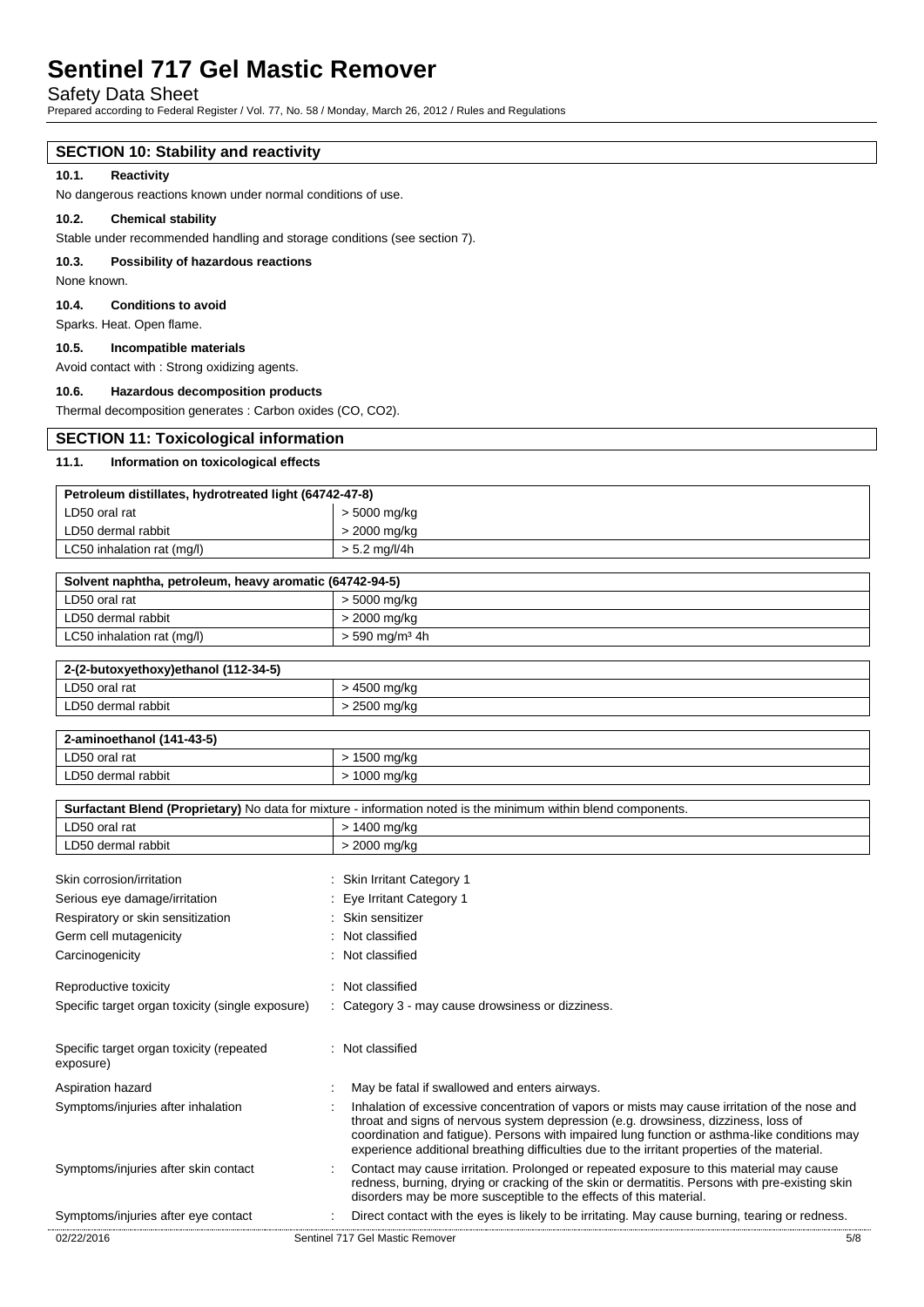Safety Data Sheet

Prepared according to Federal Register / Vol. 77, No. 58 / Monday, March 26, 2012 / Rules and Regulations

### **SECTION 10: Stability and reactivity**

### **10.1. Reactivity**

No dangerous reactions known under normal conditions of use.

#### **10.2. Chemical stability**

Stable under recommended handling and storage conditions (see section 7).

#### **10.3. Possibility of hazardous reactions**

None known.

#### **10.4. Conditions to avoid**

Sparks. Heat. Open flame.

#### **10.5. Incompatible materials**

Avoid contact with : Strong oxidizing agents.

#### **10.6. Hazardous decomposition products**

Thermal decomposition generates : Carbon oxides (CO, CO2).

## **SECTION 11: Toxicological information**

#### **11.1. Information on toxicological effects**

| Petroleum distillates, hydrotreated light (64742-47-8)  |                              |  |
|---------------------------------------------------------|------------------------------|--|
| LD50 oral rat                                           | $> 5000$ mg/kg               |  |
| LD50 dermal rabbit                                      | > 2000 mg/kg                 |  |
| LC50 inhalation rat (mg/l)                              | $> 5.2$ mg/l/4h              |  |
| Solvent naphtha, petroleum, heavy aromatic (64742-94-5) |                              |  |
| LD50 oral rat                                           | > 5000 mg/kg                 |  |
| LD50 dermal rabbit                                      | > 2000 mg/kg                 |  |
| LC50 inhalation rat (mg/l)                              | $> 590$ mg/m <sup>3</sup> 4h |  |
| 2-(2-butoxyethoxy)ethanol (112-34-5)                    |                              |  |
| LD50 oral rat                                           | > 4500 mg/kg                 |  |
| LD50 dermal rabbit                                      | > 2500 mg/kg                 |  |
| 2-aminoethanol (141-43-5)                               |                              |  |
| LD50 oral rat                                           | $> 1500$ mg/kg               |  |
| LD50 dermal rabbit                                      | > 1000 mg/kg                 |  |

#### **Surfactant Blend (Proprietary)** No data for mixture - information noted is the minimum within blend components.

| 02/22/2016                                            | Sentinel 717 Gel Mastic Remover                                                                                                                                                                                                                                                                                                                                                     | 5/8 |
|-------------------------------------------------------|-------------------------------------------------------------------------------------------------------------------------------------------------------------------------------------------------------------------------------------------------------------------------------------------------------------------------------------------------------------------------------------|-----|
| Symptoms/injuries after eye contact                   | Direct contact with the eyes is likely to be irritating. May cause burning, tearing or redness.                                                                                                                                                                                                                                                                                     |     |
| Symptoms/injuries after skin contact                  | Contact may cause irritation. Prolonged or repeated exposure to this material may cause<br>redness, burning, drying or cracking of the skin or dermatitis. Persons with pre-existing skin<br>disorders may be more susceptible to the effects of this material.                                                                                                                     |     |
| Symptoms/injuries after inhalation                    | Inhalation of excessive concentration of vapors or mists may cause irritation of the nose and<br>throat and signs of nervous system depression (e.g. drowsiness, dizziness, loss of<br>coordination and fatigue). Persons with impaired lung function or asthma-like conditions may<br>experience additional breathing difficulties due to the irritant properties of the material. |     |
| Aspiration hazard                                     | May be fatal if swallowed and enters airways.                                                                                                                                                                                                                                                                                                                                       |     |
| Specific target organ toxicity (repeated<br>exposure) | : Not classified                                                                                                                                                                                                                                                                                                                                                                    |     |
| Specific target organ toxicity (single exposure)      | : Category 3 - may cause drowsiness or dizziness.                                                                                                                                                                                                                                                                                                                                   |     |
| Reproductive toxicity                                 | Not classified                                                                                                                                                                                                                                                                                                                                                                      |     |
| Carcinogenicity                                       | Not classified                                                                                                                                                                                                                                                                                                                                                                      |     |
| Germ cell mutagenicity                                | Not classified                                                                                                                                                                                                                                                                                                                                                                      |     |
| Respiratory or skin sensitization                     | Skin sensitizer                                                                                                                                                                                                                                                                                                                                                                     |     |
| Serious eye damage/irritation                         | Eye Irritant Category 1                                                                                                                                                                                                                                                                                                                                                             |     |
| Skin corrosion/irritation                             | <b>Skin Irritant Category 1</b>                                                                                                                                                                                                                                                                                                                                                     |     |
| LD50 dermal rabbit                                    | > 2000 mg/kg                                                                                                                                                                                                                                                                                                                                                                        |     |
| LD50 oral rat                                         | > 1400 mg/kg                                                                                                                                                                                                                                                                                                                                                                        |     |
|                                                       |                                                                                                                                                                                                                                                                                                                                                                                     |     |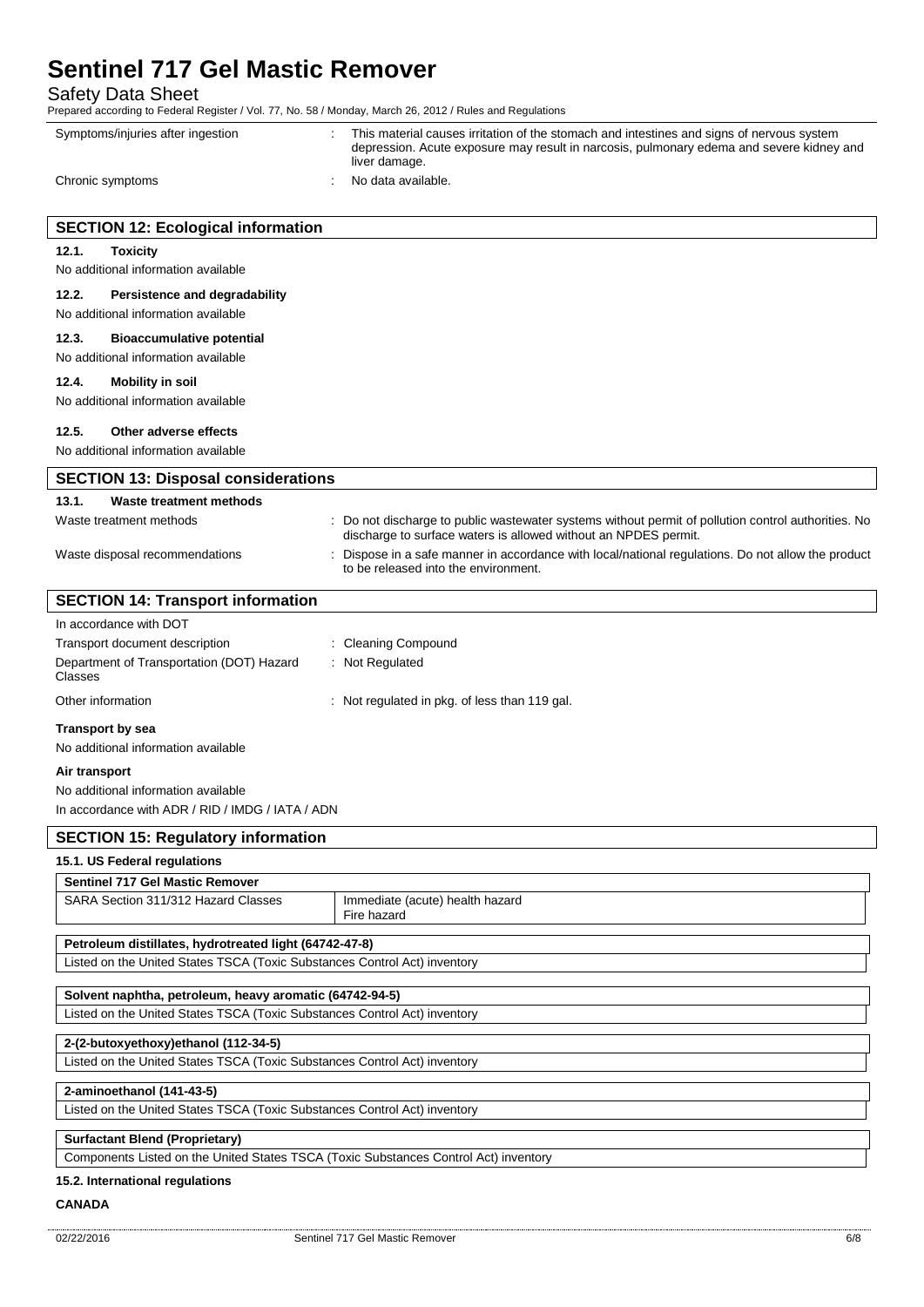Safety Data Sheet

Prepared according to Federal Register / Vol. 77, No. 58 / Monday, March 26, 2012 / Rules and Regulations

Symptoms/injuries after ingestion : This material causes irritation of the stomach and intestines and signs of nervous system depression. Acute exposure may result in narcosis, pulmonary edema and severe kidney and liver damage. Chronic symptoms : No data available. **SECTION 12: Ecological information 12.1. Toxicity** No additional information available **12.2. Persistence and degradability** No additional information available **12.3. Bioaccumulative potential** No additional information available **12.4. Mobility in soil** No additional information available **12.5. Other adverse effects** No additional information available **SECTION 13: Disposal considerations 13.1. Waste treatment methods** Waste treatment methods : Do not discharge to public wastewater systems without permit of pollution control authorities. No discharge to surface waters is allowed without an NPDES permit. Waste disposal recommendations : Dispose in a safe manner in accordance with local/national regulations. Do not allow the product to be released into the environment. **SECTION 14: Transport information** In accordance with DOT Transport document description : Cleaning Compound Department of Transportation (DOT) Hazard Classes : Not Regulated Other information : Not regulated in pkg. of less than 119 gal. **Transport by sea** No additional information available **Air transport** No additional information available In accordance with ADR / RID / IMDG / IATA / ADN **SECTION 15: Regulatory information 15.1. US Federal regulations Sentinel 717 Gel Mastic Remover**  SARA Section 311/312 Hazard Classes | Immediate (acute) health hazard Fire hazard **Petroleum distillates, hydrotreated light (64742-47-8)** Listed on the United States TSCA (Toxic Substances Control Act) inventory **Solvent naphtha, petroleum, heavy aromatic (64742-94-5)** Listed on the United States TSCA (Toxic Substances Control Act) inventory **2-(2-butoxyethoxy)ethanol (112-34-5)** Listed on the United States TSCA (Toxic Substances Control Act) inventory **2-aminoethanol (141-43-5)** Listed on the United States TSCA (Toxic Substances Control Act) inventory **Surfactant Blend (Proprietary)** Components Listed on the United States TSCA (Toxic Substances Control Act) inventory

### **15.2. International regulations**

#### **CANADA**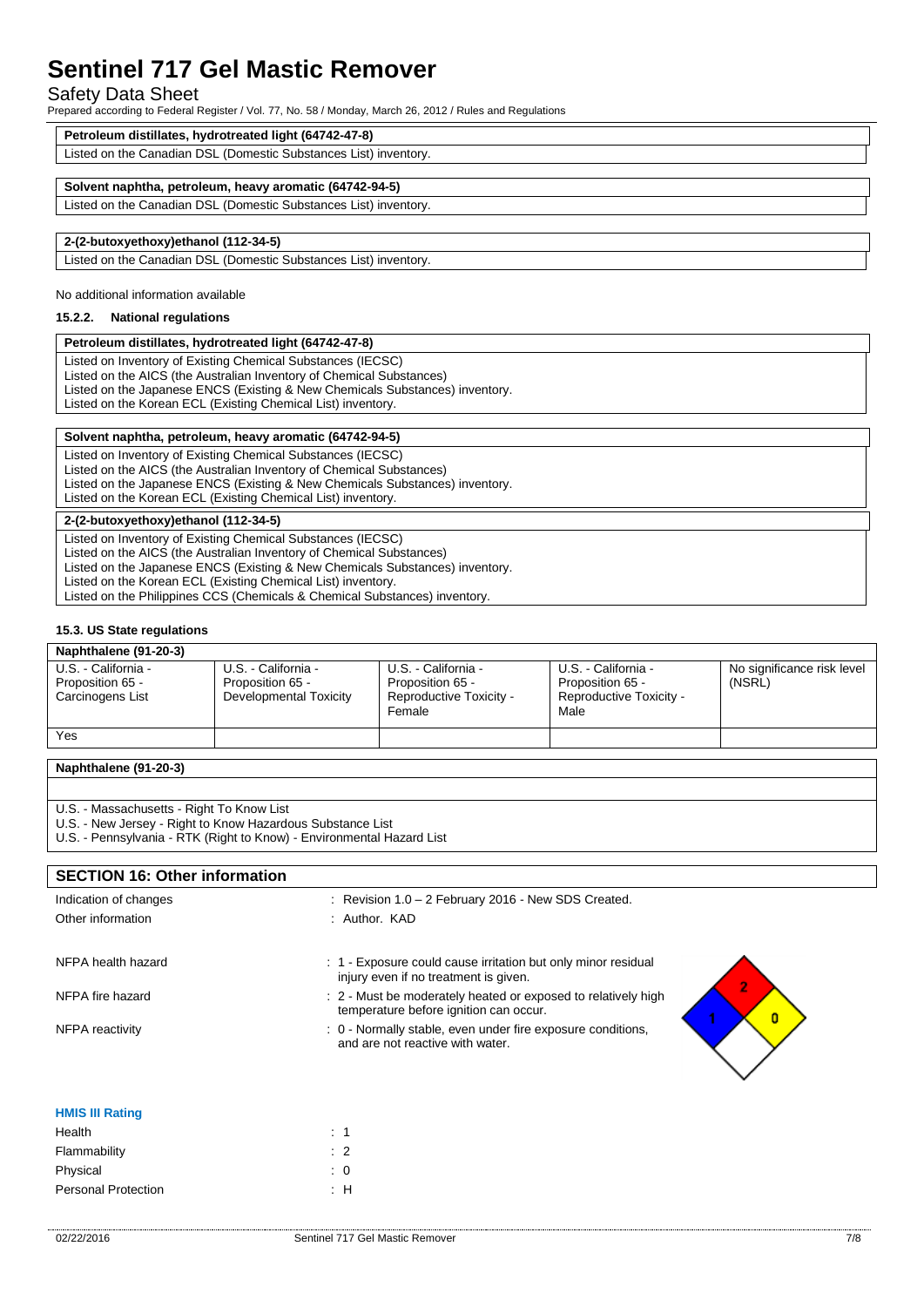## Safety Data Sheet

Prepared according to Federal Register / Vol. 77, No. 58 / Monday, March 26, 2012 / Rules and Regulations

| Petroleum distillates, hydrotreated light (64742-47-8)           |
|------------------------------------------------------------------|
| Listed on the Canadian DSL (Domestic Substances List) inventory. |
|                                                                  |
| Solvent naphtha, petroleum, heavy aromatic (64742-94-5)          |
| Listed on the Canadian DSL (Domestic Substances List) inventory. |
|                                                                  |
| 2-(2-butoxyethoxy)ethanol (112-34-5)                             |
| Listed on the Canadian DSL (Domestic Substances List) inventory. |

No additional information available

## **15.2.2. National regulations**

## **Petroleum distillates, hydrotreated light (64742-47-8)**

Listed on Inventory of Existing Chemical Substances (IECSC) Listed on the AICS (the Australian Inventory of Chemical Substances) Listed on the Japanese ENCS (Existing & New Chemicals Substances) inventory. Listed on the Korean ECL (Existing Chemical List) inventory.

| Solvent naphtha, petroleum, heavy aromatic (64742-94-5)                                                                                                                                                                                                                                                                                                           |  |
|-------------------------------------------------------------------------------------------------------------------------------------------------------------------------------------------------------------------------------------------------------------------------------------------------------------------------------------------------------------------|--|
| Listed on Inventory of Existing Chemical Substances (IECSC)<br>Listed on the AICS (the Australian Inventory of Chemical Substances)<br>Listed on the Japanese ENCS (Existing & New Chemicals Substances) inventory.<br>Listed on the Korean ECL (Existing Chemical List) inventory.                                                                               |  |
| 2-(2-butoxyethoxy)ethanol (112-34-5)                                                                                                                                                                                                                                                                                                                              |  |
| Listed on Inventory of Existing Chemical Substances (IECSC)<br>Listed on the AICS (the Australian Inventory of Chemical Substances)<br>Listed on the Japanese ENCS (Existing & New Chemicals Substances) inventory.<br>Listed on the Korean ECL (Existing Chemical List) inventory.<br>Listed on the Philippines CCS (Chemicals & Chemical Substances) inventory. |  |

### **15.3. US State regulations**

| Naphthalene (91-20-3)                                       |                                                                   |                                                                              |                                                                            |                                      |
|-------------------------------------------------------------|-------------------------------------------------------------------|------------------------------------------------------------------------------|----------------------------------------------------------------------------|--------------------------------------|
| U.S. - California -<br>Proposition 65 -<br>Carcinogens List | U.S. - California -<br>Proposition 65 -<br>Developmental Toxicity | U.S. - California -<br>Proposition 65 -<br>Reproductive Toxicity -<br>Female | U.S. - California -<br>Proposition 65 -<br>Reproductive Toxicity -<br>Male | No significance risk level<br>(NSRL) |
| Yes                                                         |                                                                   |                                                                              |                                                                            |                                      |

| Naphthalene (91-20-3) |  |
|-----------------------|--|
|-----------------------|--|

- U.S. Massachusetts Right To Know List
- U.S. New Jersey Right to Know Hazardous Substance List
- U.S. Pennsylvania RTK (Right to Know) Environmental Hazard List

## **SECTION 16: Other information**

| Indication of changes  | : Revision $1.0 - 2$ February 2016 - New SDS Created.                                                        |
|------------------------|--------------------------------------------------------------------------------------------------------------|
| Other information      | : Author. KAD                                                                                                |
| NFPA health hazard     | : 1 - Exposure could cause irritation but only minor residual<br>injury even if no treatment is given.       |
| NFPA fire hazard       | : 2 - Must be moderately heated or exposed to relatively high<br>temperature before ignition can occur.<br>0 |
| NFPA reactivity        | : 0 - Normally stable, even under fire exposure conditions,<br>and are not reactive with water.              |
| <b>HMIS III Rating</b> |                                                                                                              |
| Health                 | $\therefore$ 1                                                                                               |

| пеашт                      |                |
|----------------------------|----------------|
| Flammability               | $\therefore$ 2 |
| Physical                   | $\therefore$ 0 |
| <b>Personal Protection</b> | ÷Н             |
|                            |                |